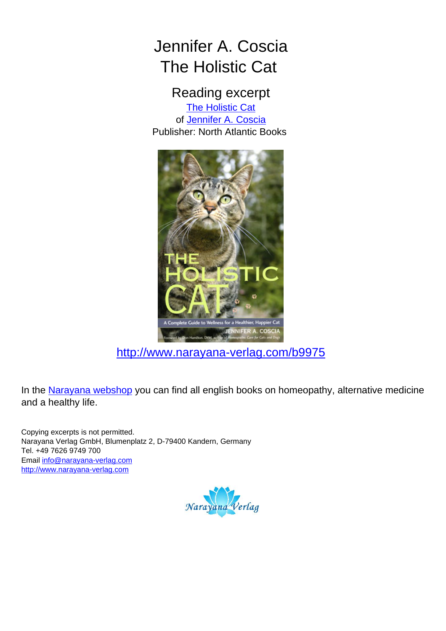## Jennifer A. Coscia The Holistic Cat

Reading excerpt [The Holistic Cat](http://www.narayana-verlag.com/The-Holistic-Cat-Jennifer-A-Coscia/b9975/partner/leseprobe) of [Jennifer A. Coscia](http://www.narayana-verlag.com/Jennifer-A-Coscia/a2507/partner/leseprobe) Publisher: North Atlantic Books



[http://www.narayana-verlag.com/b9975](http://www.narayana-verlag.com/The-Holistic-Cat-Jennifer-A-Coscia/b9975/partner/leseprobe)

In the [Narayana webshop](http://www.narayana-verlag.com/partner/leseprobe) you can find all english books on homeopathy, alternative medicine and a healthy life.

Copying excerpts is not permitted. Narayana Verlag GmbH, Blumenplatz 2, D-79400 Kandern, Germany Tel. +49 7626 9749 700 Email [info@narayana-verlag.com](mailto:info@narayana-verlag.com) [http://www.narayana-verlag.com](http://www.narayana-verlag.com/partner/leseprobe)

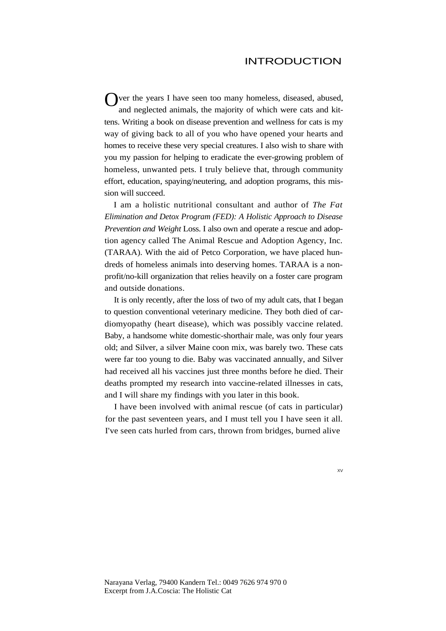## INTRODUCTION

Over the years I have seen too many homeless, diseased, abused, and neglected animals, the majority of which were cats and kit. and neglected animals, the majority of which were cats and kittens. Writing a book on disease prevention and wellness for cats is my way of giving back to all of you who have opened your hearts and homes to receive these very special creatures. I also wish to share with you my passion for helping to eradicate the ever-growing problem of homeless, unwanted pets. I truly believe that, through community effort, education, spaying/neutering, and adoption programs, this mission will succeed.

I am a holistic nutritional consultant and author of *The Fat Elimination and Detox Program (FED): A Holistic Approach to Disease Prevention and Weight* Loss. I also own and operate a rescue and adoption agency called The Animal Rescue and Adoption Agency, Inc. (TARAA). With the aid of Petco Corporation, we have placed hundreds of homeless animals into deserving homes. TARAA is a nonprofit/no-kill organization that relies heavily on a foster care program and outside donations.

It is only recently, after the loss of two of my adult cats, that I began to question conventional veterinary medicine. They both died of cardiomyopathy (heart disease), which was possibly vaccine related. Baby, a handsome white domestic-shorthair male, was only four years old; and Silver, a silver Maine coon mix, was barely two. These cats were far too young to die. Baby was vaccinated annually, and Silver had received all his vaccines just three months before he died. Their deaths prompted my research into vaccine-related illnesses in cats, and I will share my findings with you later in this book.

I have been involved with animal rescue (of cats in particular) for the past seventeen years, and I must tell you I have seen it all. I've seen cats hurled from cars, thrown from bridges, burned alive

XV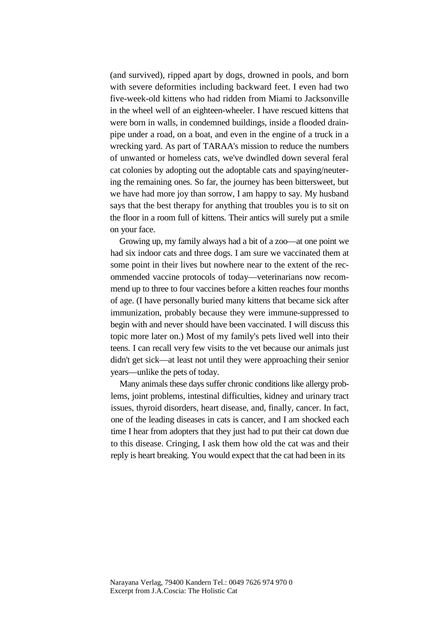(and survived), ripped apart by dogs, drowned in pools, and born with severe deformities including backward feet. I even had two five-week-old kittens who had ridden from Miami to Jacksonville in the wheel well of an eighteen-wheeler. I have rescued kittens that were born in walls, in condemned buildings, inside a flooded drainpipe under a road, on a boat, and even in the engine of a truck in a wrecking yard. As part of TARAA's mission to reduce the numbers of unwanted or homeless cats, we've dwindled down several feral cat colonies by adopting out the adoptable cats and spaying/neutering the remaining ones. So far, the journey has been bittersweet, but we have had more joy than sorrow, I am happy to say. My husband says that the best therapy for anything that troubles you is to sit on the floor in a room full of kittens. Their antics will surely put a smile on your face.

Growing up, my family always had a bit of a zoo—at one point we had six indoor cats and three dogs. I am sure we vaccinated them at some point in their lives but nowhere near to the extent of the recommended vaccine protocols of today—veterinarians now recommend up to three to four vaccines before a kitten reaches four months of age. (I have personally buried many kittens that became sick after immunization, probably because they were immune-suppressed to begin with and never should have been vaccinated. I will discuss this topic more later on.) Most of my family's pets lived well into their teens. I can recall very few visits to the vet because our animals just didn't get sick—at least not until they were approaching their senior years—unlike the pets of today.

Many animals these days suffer chronic conditions like allergy problems, joint problems, intestinal difficulties, kidney and urinary tract issues, thyroid disorders, heart disease, and, finally, cancer. In fact, one of the leading diseases in cats is cancer, and I am shocked each time I hear from adopters that they just had to put their cat down due to this disease. Cringing, I ask them how old the cat was and their reply is heart breaking. You would expect that the cat had been in its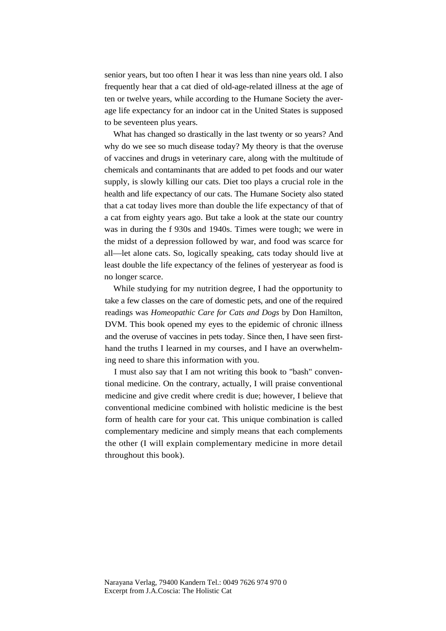senior years, but too often I hear it was less than nine years old. I also frequently hear that a cat died of old-age-related illness at the age of ten or twelve years, while according to the Humane Society the average life expectancy for an indoor cat in the United States is supposed to be seventeen plus years.

What has changed so drastically in the last twenty or so years? And why do we see so much disease today? My theory is that the overuse of vaccines and drugs in veterinary care, along with the multitude of chemicals and contaminants that are added to pet foods and our water supply, is slowly killing our cats. Diet too plays a crucial role in the health and life expectancy of our cats. The Humane Society also stated that a cat today lives more than double the life expectancy of that of a cat from eighty years ago. But take a look at the state our country was in during the f 930s and 1940s. Times were tough; we were in the midst of a depression followed by war, and food was scarce for all—let alone cats. So, logically speaking, cats today should live at least double the life expectancy of the felines of yesteryear as food is no longer scarce.

While studying for my nutrition degree, I had the opportunity to take a few classes on the care of domestic pets, and one of the required readings was *Homeopathic Care for Cats and Dogs* by Don Hamilton, DVM. This book opened my eyes to the epidemic of chronic illness and the overuse of vaccines in pets today. Since then, I have seen firsthand the truths I learned in my courses, and I have an overwhelming need to share this information with you.

I must also say that I am not writing this book to "bash" conventional medicine. On the contrary, actually, I will praise conventional medicine and give credit where credit is due; however, I believe that conventional medicine combined with holistic medicine is the best form of health care for your cat. This unique combination is called complementary medicine and simply means that each complements the other (I will explain complementary medicine in more detail throughout this book).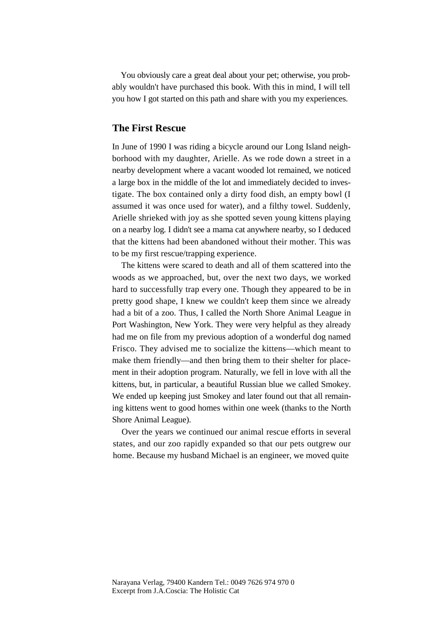You obviously care a great deal about your pet; otherwise, you probably wouldn't have purchased this book. With this in mind, I will tell you how I got started on this path and share with you my experiences.

## **The First Rescue**

In June of 1990 I was riding a bicycle around our Long Island neighborhood with my daughter, Arielle. As we rode down a street in a nearby development where a vacant wooded lot remained, we noticed a large box in the middle of the lot and immediately decided to investigate. The box contained only a dirty food dish, an empty bowl (I assumed it was once used for water), and a filthy towel. Suddenly, Arielle shrieked with joy as she spotted seven young kittens playing on a nearby log. I didn't see a mama cat anywhere nearby, so I deduced that the kittens had been abandoned without their mother. This was to be my first rescue/trapping experience.

The kittens were scared to death and all of them scattered into the woods as we approached, but, over the next two days, we worked hard to successfully trap every one. Though they appeared to be in pretty good shape, I knew we couldn't keep them since we already had a bit of a zoo. Thus, I called the North Shore Animal League in Port Washington, New York. They were very helpful as they already had me on file from my previous adoption of a wonderful dog named Frisco. They advised me to socialize the kittens—which meant to make them friendly—and then bring them to their shelter for placement in their adoption program. Naturally, we fell in love with all the kittens, but, in particular, a beautiful Russian blue we called Smokey. We ended up keeping just Smokey and later found out that all remaining kittens went to good homes within one week (thanks to the North Shore Animal League).

Over the years we continued our animal rescue efforts in several states, and our zoo rapidly expanded so that our pets outgrew our home. Because my husband Michael is an engineer, we moved quite